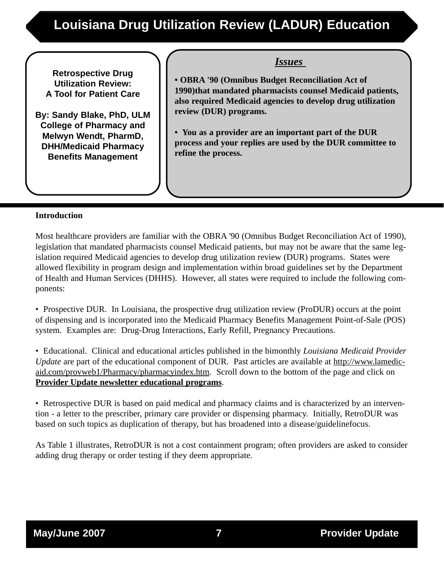## **Louisiana Drug Utilization Review (LADUR) Education**

**Retrospective Drug Utilization Review: A Tool for Patient Care**

**By: Sandy Blake, PhD, ULM College of Pharmacy and Melwyn Wendt, PharmD, DHH/Medicaid Pharmacy Benefits Management**

*Issues* 

**• OBRA '90 (Omnibus Budget Reconciliation Act of 1990)that mandated pharmacists counsel Medicaid patients, also required Medicaid agencies to develop drug utilization review (DUR) programs.**

**• You as a provider are an important part of the DUR process and your replies are used by the DUR committee to refine the process.**

### **Introduction**

Most healthcare providers are familiar with the OBRA '90 (Omnibus Budget Reconciliation Act of 1990), legislation that mandated pharmacists counsel Medicaid patients, but may not be aware that the same legislation required Medicaid agencies to develop drug utilization review (DUR) programs. States were allowed flexibility in program design and implementation within broad guidelines set by the Department of Health and Human Services (DHHS). However, all states were required to include the following components:

• Prospective DUR. In Louisiana, the prospective drug utilization review (ProDUR) occurs at the point of dispensing and is incorporated into the Medicaid Pharmacy Benefits Management Point-of-Sale (POS) system. Examples are: Drug-Drug Interactions, Early Refill, Pregnancy Precautions.

• Educational. Clinical and educational articles published in the bimonthly *Louisiana Medicaid Provider Update* are part of the educational component of DUR. Past articles are available at http://www.lamedicaid.com/provweb1/Pharmacy/pharmacyindex.htm. Scroll down to the bottom of the page and click on **Provider Update newsletter educational programs**.

• Retrospective DUR is based on paid medical and pharmacy claims and is characterized by an intervention - a letter to the prescriber, primary care provider or dispensing pharmacy. Initially, RetroDUR was based on such topics as duplication of therapy, but has broadened into a disease/guidelinefocus.

As Table 1 illustrates, RetroDUR is not a cost containment program; often providers are asked to consider adding drug therapy or order testing if they deem appropriate.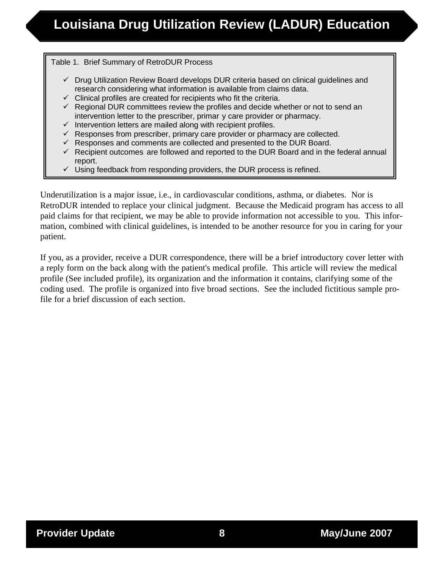#### Table 1. Brief Summary of RetroDUR Process

- $\checkmark$  Drug Utilization Review Board develops DUR criteria based on clinical guidelines and research considering what information is available from claims data.
- $\checkmark$  Clinical profiles are created for recipients who fit the criteria.
- $\checkmark$  Regional DUR committees review the profiles and decide whether or not to send an intervention letter to the prescriber, primar y care provider or pharmacy.
- $\checkmark$  Intervention letters are mailed along with recipient profiles.
- $\checkmark$  Responses from prescriber, primary care provider or pharmacy are collected.
- $\checkmark$  Responses and comments are collected and presented to the DUR Board.
- $\checkmark$  Recipient outcomes are followed and reported to the DUR Board and in the federal annual report.
- $\checkmark$  Using feedback from responding providers, the DUR process is refined.

Underutilization is a major issue, i.e., in cardiovascular conditions, asthma, or diabetes. Nor is RetroDUR intended to replace your clinical judgment. Because the Medicaid program has access to all paid claims for that recipient, we may be able to provide information not accessible to you. This information, combined with clinical guidelines, is intended to be another resource for you in caring for your patient.

If you, as a provider, receive a DUR correspondence, there will be a brief introductory cover letter with a reply form on the back along with the patient's medical profile. This article will review the medical profile (See included profile), its organization and the information it contains, clarifying some of the coding used. The profile is organized into five broad sections. See the included fictitious sample profile for a brief discussion of each section.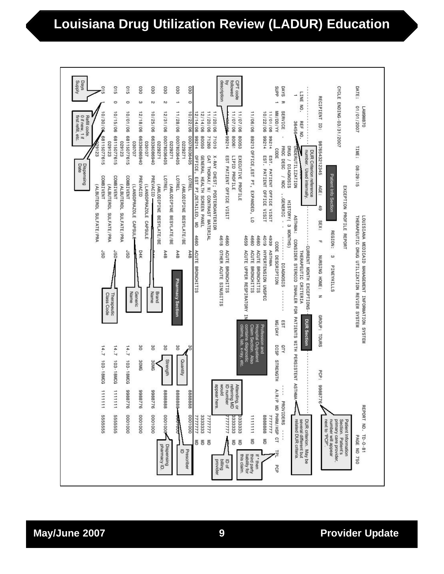### **Louisiana Drug Utilization Review (LADUR) Education**

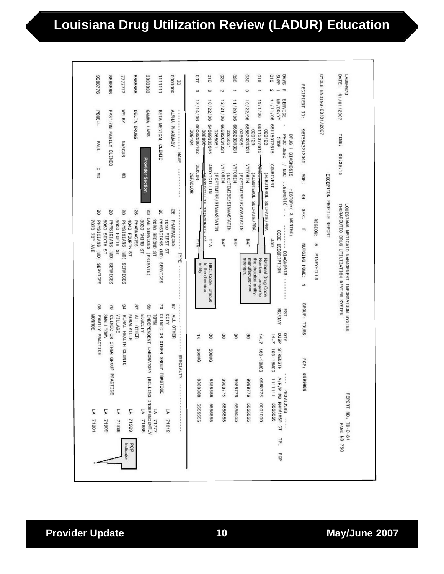# **Louisiana Drug Utilization Review (LADUR) Education**

|                                            | MONROE<br>FAMILY PRACTICE                        |                                            | L0211                                                   |
|--------------------------------------------|--------------------------------------------------|--------------------------------------------|---------------------------------------------------------|
| 80                                         | <b>SIAALLTOWN</b>                                |                                            | 5<br>71999                                              |
| 01                                         |                                                  | CLINIC OR OTHER GROUP PRACT<br><b>TICE</b> |                                                         |
| 94                                         | VILLAGE                                          | RURAL HEALTH CLINIC                        | 5<br>71888                                              |
|                                            | <b>RURALVILLE</b>                                |                                            | 66612 VT                                                |
| 28                                         | ALL OTHER                                        |                                            |                                                         |
|                                            | BIGCITY                                          |                                            | 5<br>71888                                              |
| 69<br>TOWN                                 |                                                  |                                            | INDEPENDENT LABORATORY (BILLING INDEPENDENTLY<br>L71777 |
| 70                                         |                                                  | CLINIC OR OTHER GROUP PRACTICE             |                                                         |
| ALI <sub>3</sub>                           |                                                  |                                            | 5<br>71212                                              |
| 78                                         | ALL OTHER                                        | SPECIALTY                                  |                                                         |
|                                            |                                                  |                                            |                                                         |
|                                            | 14<br><b>500MG</b>                               | 888888                                     | 555555                                                  |
|                                            | 30<br><b>500MG</b>                               | 8888888                                    | 555555                                                  |
|                                            |                                                  |                                            |                                                         |
|                                            | 30                                               | 9778892                                    | 555555                                                  |
|                                            | 30                                               | 9778869                                    | 555555                                                  |
|                                            |                                                  |                                            |                                                         |
|                                            | 30                                               | 9228866                                    | 555555                                                  |
|                                            | 14.7                                             | 103-18MCG<br>9778899                       | 0001000                                                 |
|                                            | 14.7                                             | 103-18MCG                                  | 1111111 555555                                          |
| MG/DAY                                     | DISP                                             | STRENGTH<br>A/R                            | /P MD PHRM/HSP CT                                       |
| EST                                        | OTY                                              |                                            | PROVIDERS                                               |
|                                            | GROUP: TDURS                                     | PCP: 8899988                               |                                                         |
|                                            |                                                  |                                            |                                                         |
|                                            |                                                  |                                            |                                                         |
|                                            |                                                  |                                            |                                                         |
| THERAPEUTIC DRUG UTILIZATION REVIEW SYSTEM | LOUISIANA MEDICAID MANAGEMENT INFORMATION SYSTEM |                                            | REPORT ND. TD-0-81<br>PAGE NO 750                       |
|                                            |                                                  |                                            |                                                         |